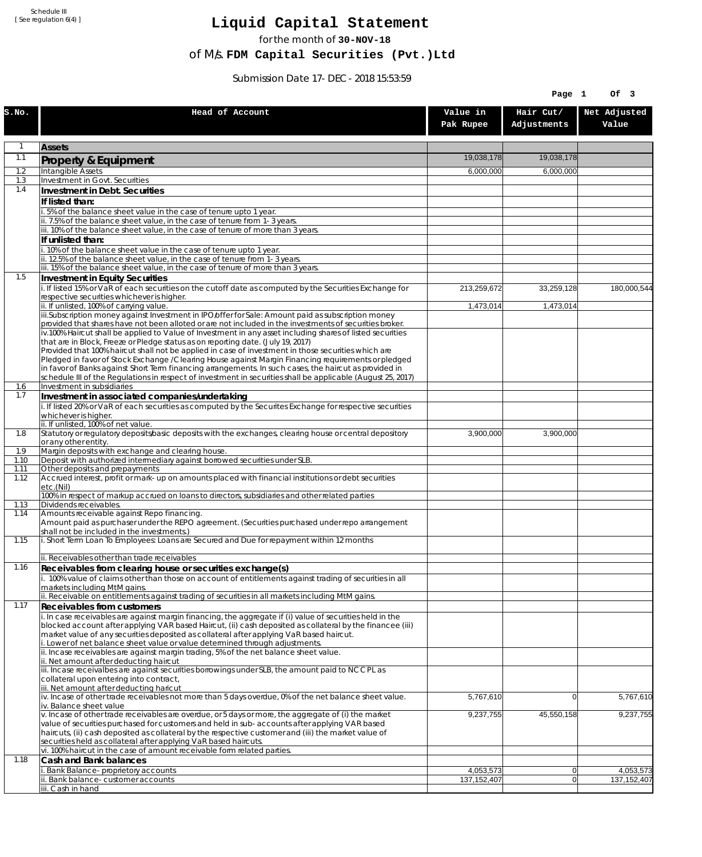Schedule III [ See regulation 6(4) ]

## **Liquid Capital Statement**

for the month of **30-NOV-18**

of M/s. **FDM Capital Securities (Pvt.)Ltd**

Submission Date 17-DEC-2018 15:53:59

|              |                                                                                                                                                                                                                        |                            | Page 1                   | Of 3                       |
|--------------|------------------------------------------------------------------------------------------------------------------------------------------------------------------------------------------------------------------------|----------------------------|--------------------------|----------------------------|
| S.NO.        | Head of Account                                                                                                                                                                                                        | Value in<br>Pak Rupee      | Hair Cut/<br>Adjustments | Net Adjusted<br>Value      |
| 1            | <b>Assets</b>                                                                                                                                                                                                          |                            |                          |                            |
| 1.1          | Property & Equipment                                                                                                                                                                                                   | 19,038,178                 | 19,038,178               |                            |
| 1.2          | Intangible Assets                                                                                                                                                                                                      | 6,000,000                  | 6,000,000                |                            |
| 1.3<br>1.4   | Investment in Govt. Securities<br>Investment in Debt. Securities                                                                                                                                                       |                            |                          |                            |
|              | If listed than:                                                                                                                                                                                                        |                            |                          |                            |
|              | i. 5% of the balance sheet value in the case of tenure upto 1 year.                                                                                                                                                    |                            |                          |                            |
|              | ii. 7.5% of the balance sheet value, in the case of tenure from 1-3 years.                                                                                                                                             |                            |                          |                            |
|              | iii. 10% of the balance sheet value, in the case of tenure of more than 3 years.<br>If unlisted than:                                                                                                                  |                            |                          |                            |
|              | i. 10% of the balance sheet value in the case of tenure upto 1 year.                                                                                                                                                   |                            |                          |                            |
|              | ii. 12.5% of the balance sheet value, in the case of tenure from 1-3 years.<br>iii. 15% of the balance sheet value, in the case of tenure of more than 3 years.                                                        |                            |                          |                            |
| 1.5          | Investment in Equity Securities                                                                                                                                                                                        |                            |                          |                            |
|              | i. If listed 15% or VaR of each securities on the cutoff date as computed by the Securities Exchange for                                                                                                               | 213,259,672                | 33,259,128               | 180,000,544                |
|              | respective securities whichever is higher.                                                                                                                                                                             |                            |                          |                            |
|              | ii. If unlisted, 100% of carrying value.<br>iii.Subscription money against Investment in IPO/offer for Sale: Amount paid as subscription money                                                                         | 1,473,014                  | 1,473,014                |                            |
|              | provided that shares have not been alloted or are not included in the investments of securities broker.                                                                                                                |                            |                          |                            |
|              | iv.100% Haircut shall be applied to Value of Investment in any asset including shares of listed securities<br>that are in Block, Freeze or Pledge status as on reporting date. (July 19, 2017)                         |                            |                          |                            |
|              | Provided that 100% haircut shall not be applied in case of investment in those securities which are                                                                                                                    |                            |                          |                            |
|              | Pledged in favor of Stock Exchange / Clearing House against Margin Financing requirements or pledged                                                                                                                   |                            |                          |                            |
|              | in favor of Banks against Short Term financing arrangements. In such cases, the haircut as provided in<br>schedule III of the Regulations in respect of investment in securities shall be applicable (August 25, 2017) |                            |                          |                            |
| 1.6          | Investment in subsidiaries                                                                                                                                                                                             |                            |                          |                            |
| 1.7          | Investment in associated companies/undertaking                                                                                                                                                                         |                            |                          |                            |
|              | i. If listed 20% or VaR of each securities as computed by the Securites Exchange for respective securities<br>whichever is higher.                                                                                     |                            |                          |                            |
|              | ii. If unlisted, 100% of net value.                                                                                                                                                                                    |                            |                          |                            |
| 1.8          | Statutory or regulatory deposits/basic deposits with the exchanges, clearing house or central depository                                                                                                               | 3,900,000                  | 3,900,000                |                            |
| 1.9          | or any other entity.<br>Margin deposits with exchange and clearing house.                                                                                                                                              |                            |                          |                            |
| 1.10         | Deposit with authorized intermediary against borrowed securities under SLB.                                                                                                                                            |                            |                          |                            |
| 1.11<br>1.12 | Other deposits and prepayments<br>Accrued interest, profit or mark-up on amounts placed with financial institutions or debt securities                                                                                 |                            |                          |                            |
|              | etc.(Nil)                                                                                                                                                                                                              |                            |                          |                            |
| 1.13         | 100% in respect of markup accrued on loans to directors, subsidiaries and other related parties<br>Dividends receivables.                                                                                              |                            |                          |                            |
| 1.14         | Amounts receivable against Repo financing.                                                                                                                                                                             |                            |                          |                            |
|              | Amount paid as purchaser under the REPO agreement. (Securities purchased under repo arrangement                                                                                                                        |                            |                          |                            |
| 1.15         | shall not be included in the investments.)<br>i. Short Term Loan To Employees: Loans are Secured and Due for repayment within 12 months                                                                                |                            |                          |                            |
|              |                                                                                                                                                                                                                        |                            |                          |                            |
| 1.16         | ii. Receivables other than trade receivables                                                                                                                                                                           |                            |                          |                            |
|              | Receivables from clearing house or securities exchange(s)<br>i. 100% value of claims other than those on account of entitlements against trading of securities in all                                                  |                            |                          |                            |
|              | markets including MtM gains.                                                                                                                                                                                           |                            |                          |                            |
| 1.17         | ii. Receivable on entitlements against trading of securities in all markets including MtM gains.                                                                                                                       |                            |                          |                            |
|              | <b>Receivables from customers</b><br>i. In case receivables are against margin financing, the aggregate if (i) value of securities held in the                                                                         |                            |                          |                            |
|              | blocked account after applying VAR based Haircut, (ii) cash deposited as collateral by the financee (iii)                                                                                                              |                            |                          |                            |
|              | market value of any securities deposited as collateral after applying VaR based haircut.<br>i. Lower of net balance sheet value or value determined through adjustments.                                               |                            |                          |                            |
|              | ii. Incase receivables are against margin trading, 5% of the net balance sheet value.                                                                                                                                  |                            |                          |                            |
|              | ii. Net amount after deducting haircut                                                                                                                                                                                 |                            |                          |                            |
|              | iii. Incase receivalbes are against securities borrowings under SLB, the amount paid to NCCPL as<br>collateral upon entering into contract,                                                                            |                            |                          |                            |
|              | iii. Net amount after deducting haricut                                                                                                                                                                                |                            |                          |                            |
|              | $iv.$ Incase of other trade receivables not more than 5 days overdue, 0% of the net balance sheet value.<br>iv. Balance sheet value                                                                                    | 5,767,610                  | $\overline{0}$           | 5,767,610                  |
|              | v. Incase of other trade receivables are overdue, or 5 days or more, the aggregate of (i) the market                                                                                                                   | 9,237,755                  | 45,550,158               | 9,237,755                  |
|              | value of securities purchased for customers and held in sub-accounts after applying VAR based                                                                                                                          |                            |                          |                            |
|              | haircuts, (ii) cash deposited as collateral by the respective customer and (iii) the market value of<br>securities held as collateral after applying VaR based haircuts.                                               |                            |                          |                            |
|              | vi. 100% haircut in the case of amount receivable form related parties.                                                                                                                                                |                            |                          |                            |
| 1.18         | Cash and Bank balances                                                                                                                                                                                                 |                            |                          |                            |
|              | i. Bank Balance-proprietory accounts<br>ii. Bank balance-customer accounts                                                                                                                                             | 4,053,573<br>137, 152, 407 | 0 <br>$\overline{0}$     | 4,053,573<br>137, 152, 407 |
|              | iii. Cash in hand                                                                                                                                                                                                      |                            |                          |                            |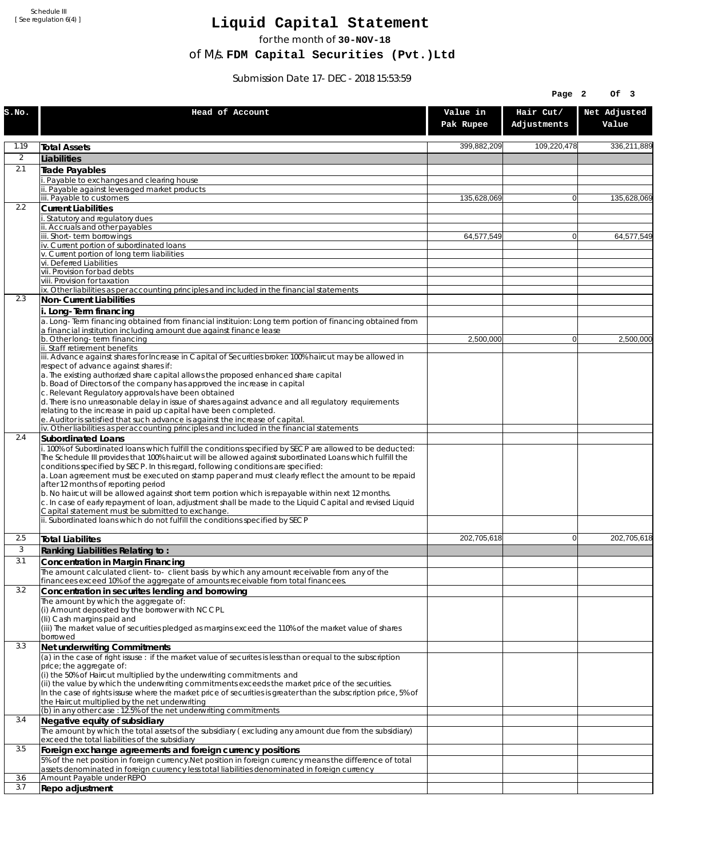Schedule III [ See regulation 6(4) ]

## **Liquid Capital Statement**

for the month of **30-NOV-18**

of M/s. **FDM Capital Securities (Pvt.)Ltd**

Submission Date 17-DEC-2018 15:53:59

|                |                                                                                                                                                                                         |                       | Page 2                   | OF <sub>3</sub>       |
|----------------|-----------------------------------------------------------------------------------------------------------------------------------------------------------------------------------------|-----------------------|--------------------------|-----------------------|
| S.NO.          | Head of Account                                                                                                                                                                         | Value in<br>Pak Rupee | Hair Cut/<br>Adjustments | Net Adjusted<br>Value |
| 1.19           | <b>Total Assets</b>                                                                                                                                                                     | 399,882,209           | 109,220,478              | 336,211,889           |
| $\overline{2}$ | Liabilities                                                                                                                                                                             |                       |                          |                       |
| 2.1            | Trade Payables                                                                                                                                                                          |                       |                          |                       |
|                | Payable to exchanges and clearing house<br>ii. Payable against leveraged market products                                                                                                |                       |                          |                       |
|                | iii. Payable to customers                                                                                                                                                               | 135,628,069           | $\mathbf{0}$             | 135,628,069           |
| 2.2            | <b>Current Liabilities</b>                                                                                                                                                              |                       |                          |                       |
|                | . Statutory and regulatory dues<br>ii. Accruals and other payables                                                                                                                      |                       |                          |                       |
|                | iii. Short-term borrowinas                                                                                                                                                              | 64,577,549            | $\mathbf{0}$             | 64,577,549            |
|                | iv. Current portion of subordinated loans                                                                                                                                               |                       |                          |                       |
|                | v. Current portion of long term liabilities<br>vi. Deferred Liabilities                                                                                                                 |                       |                          |                       |
|                | vii. Provision for bad debts                                                                                                                                                            |                       |                          |                       |
|                | viii. Provision for taxation                                                                                                                                                            |                       |                          |                       |
| 2.3            | ix. Other liabilities as per accounting principles and included in the financial statements<br>Non-Current Liabilities                                                                  |                       |                          |                       |
|                | i. Long-Term financing                                                                                                                                                                  |                       |                          |                       |
|                | a. Long-Term financing obtained from financial instituion: Long term portion of financing obtained from                                                                                 |                       |                          |                       |
|                | a financial institution including amount due against finance lease<br>b. Other long-term financing                                                                                      | 2,500,000             | $\mathbf{0}$             | 2,500,000             |
|                | ii. Staff retirement benefits                                                                                                                                                           |                       |                          |                       |
|                | iii. Advance against shares for Increase in Capital of Securities broker: 100% haircut may be allowed in                                                                                |                       |                          |                       |
|                | respect of advance against shares if:<br>a. The existing authorized share capital allows the proposed enhanced share capital                                                            |                       |                          |                       |
|                | b. Boad of Directors of the company has approved the increase in capital                                                                                                                |                       |                          |                       |
|                | c. Relevant Regulatory approvals have been obtained                                                                                                                                     |                       |                          |                       |
|                | d. There is no unreasonable delay in issue of shares against advance and all regulatory requirements<br>relating to the increase in paid up capital have been completed.                |                       |                          |                       |
|                | e. Auditor is satisfied that such advance is against the increase of capital.                                                                                                           |                       |                          |                       |
| 2.4            | iv. Other liabilities as per accounting principles and included in the financial statements<br><b>Subordinated Loans</b>                                                                |                       |                          |                       |
|                | . 100% of Subordinated loans which fulfill the conditions specified by SECP are allowed to be deducted:                                                                                 |                       |                          |                       |
|                | The Schedule III provides that 100% haircut will be allowed against subordinated Loans which fulfill the                                                                                |                       |                          |                       |
|                | conditions specified by SECP. In this regard, following conditions are specified:<br>a. Loan agreement must be executed on stamp paper and must clearly reflect the amount to be repaid |                       |                          |                       |
|                | after 12 months of reporting period                                                                                                                                                     |                       |                          |                       |
|                | b. No haircut will be allowed against short term portion which is repayable within next 12 months.                                                                                      |                       |                          |                       |
|                | c. In case of early repayment of loan, adjustment shall be made to the Liquid Capital and revised Liquid<br>Capital statement must be submitted to exchange.                            |                       |                          |                       |
|                | ii. Subordinated loans which do not fulfill the conditions specified by SECP                                                                                                            |                       |                          |                       |
| 2.5            | <b>Total Liabilites</b>                                                                                                                                                                 | 202,705,618           | $\mathbf{0}$             | 202.705.618           |
| 3              | Ranking Liabilities Relating to:                                                                                                                                                        |                       |                          |                       |
| 3.1            | Concentration in Margin Financing                                                                                                                                                       |                       |                          |                       |
|                | The amount calculated client-to- client basis by which any amount receivable from any of the                                                                                            |                       |                          |                       |
|                | financees exceed 10% of the aggregate of amounts receivable from total financees.                                                                                                       |                       |                          |                       |
| 3.2            | Concentration in securites lending and borrowing<br>The amount by which the aggregate of:                                                                                               |                       |                          |                       |
|                | (i) Amount deposited by the borrower with NCCPL                                                                                                                                         |                       |                          |                       |
|                | (Ii) Cash margins paid and                                                                                                                                                              |                       |                          |                       |
|                | (iii) The market value of securities pledged as margins exceed the 110% of the market value of shares<br>borrowed                                                                       |                       |                          |                       |
| 3.3            | Net underwriting Commitments                                                                                                                                                            |                       |                          |                       |
|                | (a) in the case of right issuse : if the market value of securites is less than or equal to the subscription                                                                            |                       |                          |                       |
|                | price; the aggregate of:<br>(i) the 50% of Haircut multiplied by the underwriting commitments and                                                                                       |                       |                          |                       |
|                | (ii) the value by which the underwriting commitments exceeds the market price of the securities.                                                                                        |                       |                          |                       |
|                | In the case of rights issuse where the market price of securities is greater than the subscription price, 5% of                                                                         |                       |                          |                       |
|                | the Haircut multiplied by the net underwriting<br>(b) in any other case: 12.5% of the net underwriting commitments                                                                      |                       |                          |                       |
| 3.4            | Negative equity of subsidiary                                                                                                                                                           |                       |                          |                       |
|                | The amount by which the total assets of the subsidiary (excluding any amount due from the subsidiary)                                                                                   |                       |                          |                       |
| 3.5            | exceed the total liabilities of the subsidiary<br>Foreign exchange agreements and foreign currency positions                                                                            |                       |                          |                       |
|                | 5% of the net position in foreign currency. Net position in foreign currency means the difference of total                                                                              |                       |                          |                       |
|                | assets denominated in foreign cuurency less total liabilities denominated in foreign currency                                                                                           |                       |                          |                       |
| 3.6<br>3.7     | Amount Payable under REPO                                                                                                                                                               |                       |                          |                       |
|                | Repo adjustment                                                                                                                                                                         |                       |                          |                       |